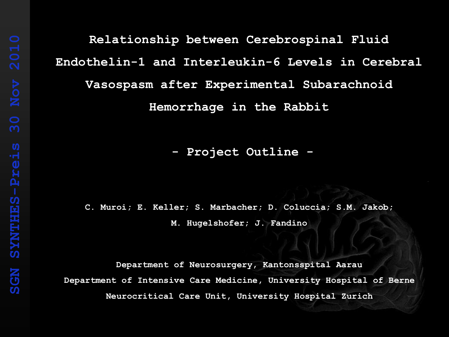## **Relationship between Cerebrospinal Fluid Endothelin-1 and Interleukin-6 Levels in Cerebral Vasospasm after Experimental Subarachnoid Hemorrhage in the Rabbit**

**- Project Outline -**

**C. Muroi; E. Keller; S. Marbacher; D. Coluccia; S.M. Jakob; M. Hugelshofer; J. Fandino**

**Department of Neurosurgery, Kantonsspital Aarau Department of Intensive Care Medicine, University Hospital of Berne Neurocritical Care Unit, University Hospital Zurich**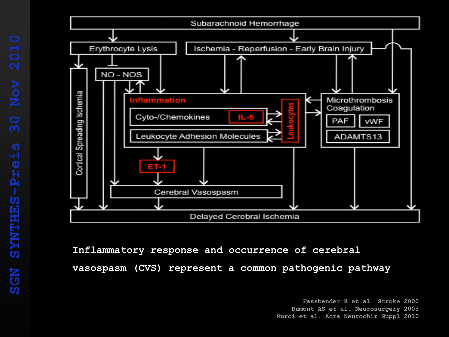

**Inflammatory response and occurrence of cerebral vasospasm (CVS) represent a common pathogenic pathway**

**Fassbender K et al. Stroke 2000**

**Dumont AS et al. Neurosurgery 2003**

**Muroi et al. Acta Neurochir Suppl 2010**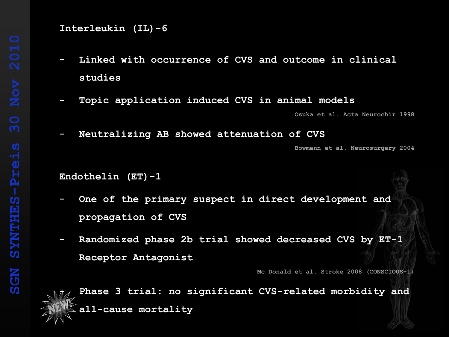**Interleukin (IL)-6**

- **- Linked with occurrence of CVS and outcome in clinical studies**
- **- Topic application induced CVS in animal models Osuka et al. Acta Neurochir 1998**
- **- Neutralizing AB showed attenuation of CVS**

**Bowmann et al. Neurosurgery 2004**

**Endothelin (ET)-1**

- **- One of the primary suspect in direct development and propagation of CVS**
- **- Randomized phase 2b trial showed decreased CVS by ET-1 Receptor Antagonist**

**Mc Donald et al. Stroke 2008 (CONSCIOUS-1)**

**- Phase 3 trial: no significant CVS-related morbidity and all-cause mortality**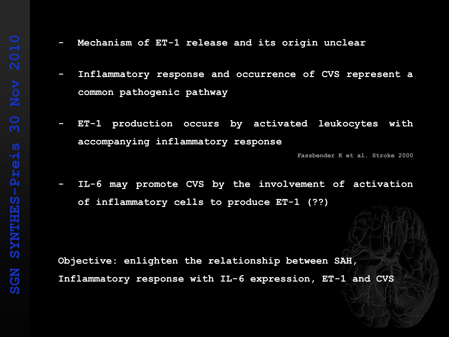- **- Mechanism of ET-1 release and its origin unclear**
- **- Inflammatory response and occurrence of CVS represent a common pathogenic pathway**
- **- ET-1 production occurs by activated leukocytes with accompanying inflammatory response**

**Fassbender K et al. Stroke 2000**

**- IL-6 may promote CVS by the involvement of activation of inflammatory cells to produce ET-1 (??)**

**Objective: enlighten the relationship between SAH, Inflammatory response with IL-6 expression, ET-1 and CVS**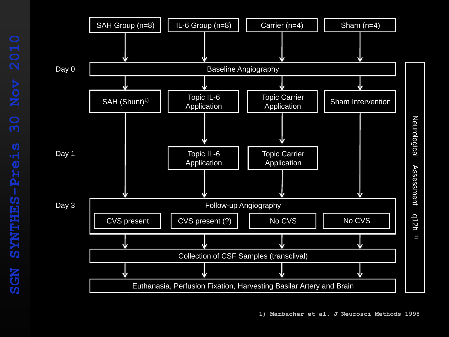

Neurological Assessment q12h

Assessment

Neurological

1)

q12h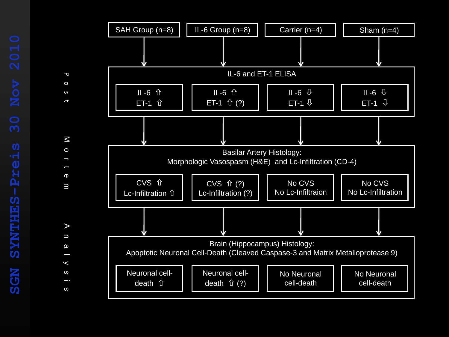